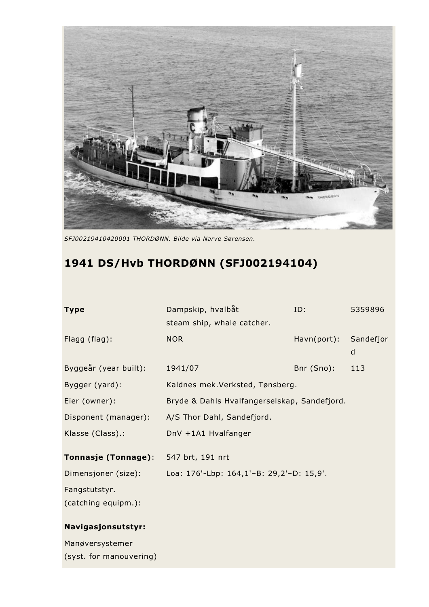

*SFJ00219410420001 THORDØNN. Bilde via Narve Sørensen.*

## **1941 DS/Hvb THORDØNN (SFJ002194104)**

| <b>Type</b>             | Dampskip, hvalbåt<br>steam ship, whale catcher. | ID:         | 5359896        |
|-------------------------|-------------------------------------------------|-------------|----------------|
| Flagg (flag):           | <b>NOR</b>                                      | Havn(port): | Sandefjor<br>d |
| Byggeår (year built):   | 1941/07                                         | Bnr (Sno):  | 113            |
| Bygger (yard):          | Kaldnes mek.Verksted, Tønsberg.                 |             |                |
| Eier (owner):           | Bryde & Dahls Hvalfangerselskap, Sandefjord.    |             |                |
| Disponent (manager):    | A/S Thor Dahl, Sandefjord.                      |             |                |
| Klasse (Class).:        | DnV +1A1 Hvalfanger                             |             |                |
| Tonnasje (Tonnage):     | 547 brt, 191 nrt                                |             |                |
| Dimensjoner (size):     | Loa: 176'-Lbp: 164,1'-B: 29,2'-D: 15,9'.        |             |                |
| Fangstutstyr.           |                                                 |             |                |
| (catching equipm.):     |                                                 |             |                |
| Navigasjonsutstyr:      |                                                 |             |                |
| Manøversystemer         |                                                 |             |                |
| (syst. for manouvering) |                                                 |             |                |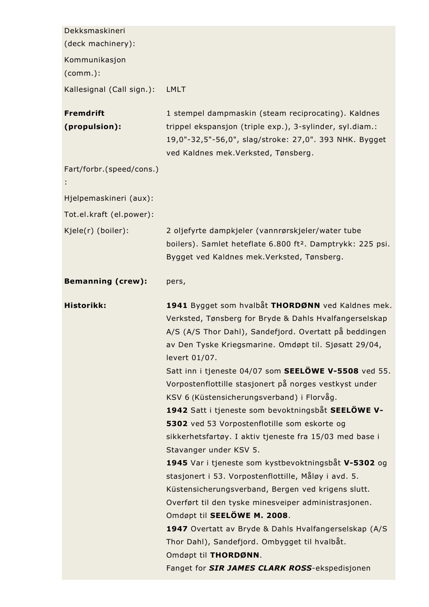| Dekksmaskineri                    |                                                                                                                                                                                                                                                                                                                                                                                                                                                                                                                                                                                                                                                                                                                                                                                                                                                                                                                                                                                                                                                                    |
|-----------------------------------|--------------------------------------------------------------------------------------------------------------------------------------------------------------------------------------------------------------------------------------------------------------------------------------------------------------------------------------------------------------------------------------------------------------------------------------------------------------------------------------------------------------------------------------------------------------------------------------------------------------------------------------------------------------------------------------------------------------------------------------------------------------------------------------------------------------------------------------------------------------------------------------------------------------------------------------------------------------------------------------------------------------------------------------------------------------------|
| (deck machinery):                 |                                                                                                                                                                                                                                                                                                                                                                                                                                                                                                                                                                                                                                                                                                                                                                                                                                                                                                                                                                                                                                                                    |
| Kommunikasjon<br>(comm.):         |                                                                                                                                                                                                                                                                                                                                                                                                                                                                                                                                                                                                                                                                                                                                                                                                                                                                                                                                                                                                                                                                    |
| Kallesignal (Call sign.):         | <b>LMLT</b>                                                                                                                                                                                                                                                                                                                                                                                                                                                                                                                                                                                                                                                                                                                                                                                                                                                                                                                                                                                                                                                        |
| <b>Fremdrift</b><br>(propulsion): | 1 stempel dampmaskin (steam reciprocating). Kaldnes<br>trippel ekspansjon (triple exp.), 3-sylinder, syl.diam.:<br>19,0"-32,5"-56,0", slag/stroke: 27,0". 393 NHK. Bygget<br>ved Kaldnes mek. Verksted, Tønsberg.                                                                                                                                                                                                                                                                                                                                                                                                                                                                                                                                                                                                                                                                                                                                                                                                                                                  |
| Fart/forbr.(speed/cons.)          |                                                                                                                                                                                                                                                                                                                                                                                                                                                                                                                                                                                                                                                                                                                                                                                                                                                                                                                                                                                                                                                                    |
| Hjelpemaskineri (aux):            |                                                                                                                                                                                                                                                                                                                                                                                                                                                                                                                                                                                                                                                                                                                                                                                                                                                                                                                                                                                                                                                                    |
| Tot.el.kraft (el.power):          |                                                                                                                                                                                                                                                                                                                                                                                                                                                                                                                                                                                                                                                                                                                                                                                                                                                                                                                                                                                                                                                                    |
| Kjele(r) (boiler):                | 2 oljefyrte dampkjeler (vannrørskjeler/water tube<br>boilers). Samlet heteflate 6.800 ft <sup>2</sup> . Damptrykk: 225 psi.<br>Bygget ved Kaldnes mek. Verksted, Tønsberg.                                                                                                                                                                                                                                                                                                                                                                                                                                                                                                                                                                                                                                                                                                                                                                                                                                                                                         |
| <b>Bemanning (crew):</b>          | pers,                                                                                                                                                                                                                                                                                                                                                                                                                                                                                                                                                                                                                                                                                                                                                                                                                                                                                                                                                                                                                                                              |
| Historikk:                        | 1941 Bygget som hvalbåt THORDØNN ved Kaldnes mek.<br>Verksted, Tønsberg for Bryde & Dahls Hvalfangerselskap<br>A/S (A/S Thor Dahl), Sandefjord. Overtatt på beddingen<br>av Den Tyske Kriegsmarine. Omdøpt til. Sjøsatt 29/04,<br>levert 01/07.<br>Satt inn i tjeneste 04/07 som SEELÖWE V-5508 ved 55.<br>Vorpostenflottille stasjonert på norges vestkyst under<br>KSV 6 (Küstensicherungsverband) i Florvåg.<br>1942 Satt i tjeneste som bevoktningsbåt SEELÖWE V-<br>5302 ved 53 Vorpostenflotille som eskorte og<br>sikkerhetsfartøy. I aktiv tjeneste fra 15/03 med base i<br>Stavanger under KSV 5.<br>1945 Var i tjeneste som kystbevoktningsbåt V-5302 og<br>stasjonert i 53. Vorpostenflottille, Måløy i avd. 5.<br>Küstensicherungsverband, Bergen ved krigens slutt.<br>Overført til den tyske minesveiper administrasjonen.<br>Omdøpt til SEELÖWE M. 2008.<br>1947 Overtatt av Bryde & Dahls Hvalfangerselskap (A/S<br>Thor Dahl), Sandefjord. Ombygget til hvalbåt.<br>Omdøpt til THORDØNN.<br>Fanget for <b>SIR JAMES CLARK ROSS</b> -ekspedisjonen |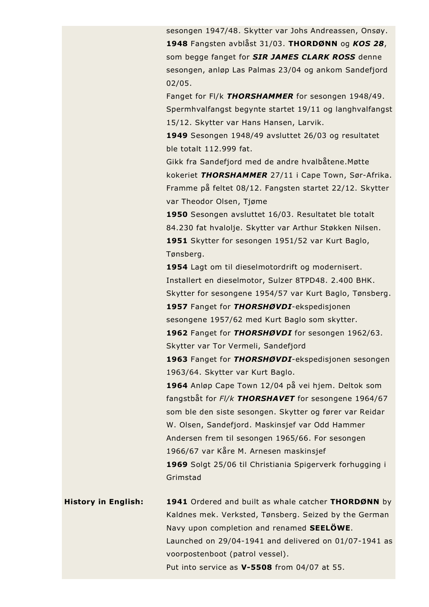sesongen 1947/48. Skytter var Johs Andreassen, Onsøy. **1948** Fangsten avblåst 31/03. **THORDØNN** og *KOS 28*, som begge fanget for *SIR JAMES CLARK ROSS* denne sesongen, anløp Las Palmas 23/04 og ankom Sandefjord 02/05.

Fanget for Fl/k *THORSHAMMER* for sesongen 1948/49. Spermhvalfangst begynte startet 19/11 og langhvalfangst 15/12. Skytter var Hans Hansen, Larvik.

**1949** Sesongen 1948/49 avsluttet 26/03 og resultatet ble totalt 112.999 fat.

Gikk fra Sandefjord med de andre hvalbåtene.Møtte kokeriet *THORSHAMMER* 27/11 i Cape Town, Sør-Afrika. Framme på feltet 08/12. Fangsten startet 22/12. Skytter var Theodor Olsen, Tjøme

**1950** Sesongen avsluttet 16/03. Resultatet ble totalt 84.230 fat hvalolje. Skytter var Arthur Støkken Nilsen. **1951** Skytter for sesongen 1951/52 var Kurt Baglo, Tønsberg.

**1954** Lagt om til dieselmotordrift og modernisert. Installert en dieselmotor, Sulzer 8TPD48. 2.400 BHK. Skytter for sesongene 1954/57 var Kurt Baglo, Tønsberg. **1957** Fanget for *THORSHØVDI*-ekspedisjonen sesongene 1957/62 med Kurt Baglo som skytter.

**1962** Fanget for *THORSHØVDI* for sesongen 1962/63. Skytter var Tor Vermeli, Sandefjord

**1963** Fanget for *THORSHØVDI*-ekspedisjonen sesongen 1963/64. Skytter var Kurt Baglo.

**1964** Anløp Cape Town 12/04 på vei hjem. Deltok som fangstbåt for *Fl/k THORSHAVET* for sesongene 1964/67 som ble den siste sesongen. Skytter og fører var Reidar W. Olsen, Sandefjord. Maskinsjef var Odd Hammer Andersen frem til sesongen 1965/66. For sesongen 1966/67 var Kåre M. Arnesen maskinsjef **1969** Solgt 25/06 til Christiania Spigerverk forhugging i Grimstad

**History in English: 1941** Ordered and built as whale catcher **THORDØNN** by Kaldnes mek. Verksted, Tønsberg. Seized by the German Navy upon completion and renamed **SEELÖWE**. Launched on 29/04-1941 and delivered on 01/07-1941 as voorpostenboot (patrol vessel). Put into service as **V-5508** from 04/07 at 55.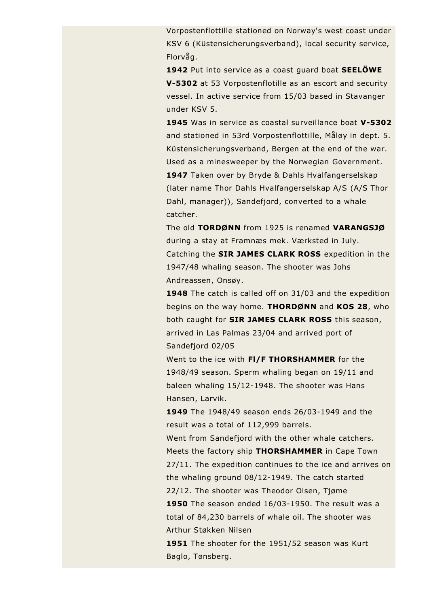Vorpostenflottille stationed on Norway's west coast under KSV 6 (Küstensicherungsverband), local security service, Florvåg.

**1942** Put into service as a coast guard boat **SEELÖWE V-5302** at 53 Vorpostenflotille as an escort and security vessel. In active service from 15/03 based in Stavanger under KSV 5.

**1945** Was in service as coastal surveillance boat **V-5302** and stationed in 53rd Vorpostenflottille, Måløy in dept. 5. Küstensicherungsverband, Bergen at the end of the war. Used as a minesweeper by the Norwegian Government. **1947** Taken over by Bryde & Dahls Hvalfangerselskap (later name Thor Dahls Hvalfangerselskap A/S (A/S Thor Dahl, manager)), Sandefjord, converted to a whale catcher.

The old **TORDØNN** from 1925 is renamed **VARANGSJØ** during a stay at Framnæs mek. Værksted in July. Catching the **SIR JAMES CLARK ROSS** expedition in the 1947/48 whaling season. The shooter was Johs Andreassen, Onsøy.

**1948** The catch is called off on 31/03 and the expedition begins on the way home. **THORDØNN** and **KOS 28**, who both caught for **SIR JAMES CLARK ROSS** this season, arrived in Las Palmas 23/04 and arrived port of Sandefjord 02/05

Went to the ice with **Fl/F THORSHAMMER** for the 1948/49 season. Sperm whaling began on 19/11 and baleen whaling 15/12-1948. The shooter was Hans Hansen, Larvik.

**1949** The 1948/49 season ends 26/03-1949 and the result was a total of 112,999 barrels.

Went from Sandefjord with the other whale catchers. Meets the factory ship **THORSHAMMER** in Cape Town 27/11. The expedition continues to the ice and arrives on the whaling ground 08/12-1949. The catch started 22/12. The shooter was Theodor Olsen, Tjøme **1950** The season ended 16/03-1950. The result was a

total of 84,230 barrels of whale oil. The shooter was Arthur Støkken Nilsen

**1951** The shooter for the 1951/52 season was Kurt Baglo, Tønsberg.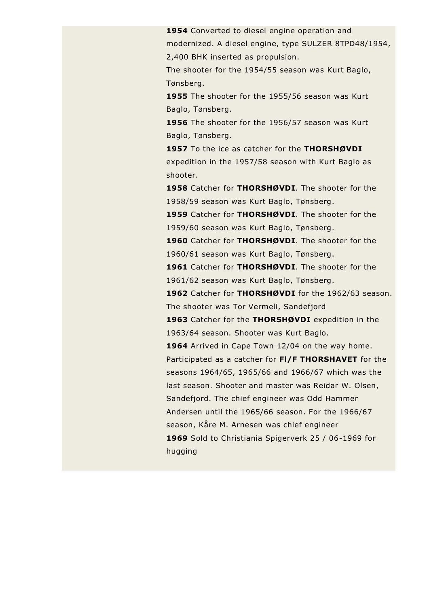**1954** Converted to diesel engine operation and modernized. A diesel engine, type SULZER 8TPD48/1954, 2,400 BHK inserted as propulsion.

The shooter for the 1954/55 season was Kurt Baglo, Tønsberg.

**1955** The shooter for the 1955/56 season was Kurt Baglo, Tønsberg.

**1956** The shooter for the 1956/57 season was Kurt Baglo, Tønsberg.

**1957** To the ice as catcher for the **THORSHØVDI** expedition in the 1957/58 season with Kurt Baglo as shooter.

**1958** Catcher for **THORSHØVDI**. The shooter for the 1958/59 season was Kurt Baglo, Tønsberg.

**1959** Catcher for **THORSHØVDI**. The shooter for the 1959/60 season was Kurt Baglo, Tønsberg.

**1960** Catcher for **THORSHØVDI**. The shooter for the 1960/61 season was Kurt Baglo, Tønsberg.

**1961** Catcher for **THORSHØVDI**. The shooter for the 1961/62 season was Kurt Baglo, Tønsberg.

**1962** Catcher for **THORSHØVDI** for the 1962/63 season. The shooter was Tor Vermeli, Sandefjord

**1963** Catcher for the **THORSHØVDI** expedition in the 1963/64 season. Shooter was Kurt Baglo.

1964 Arrived in Cape Town 12/04 on the way home. Participated as a catcher for **Fl/F THORSHAVET** for the seasons 1964/65, 1965/66 and 1966/67 which was the last season. Shooter and master was Reidar W. Olsen, Sandefjord. The chief engineer was Odd Hammer Andersen until the 1965/66 season. For the 1966/67 season, Kåre M. Arnesen was chief engineer **1969** Sold to Christiania Spigerverk 25 / 06-1969 for hugging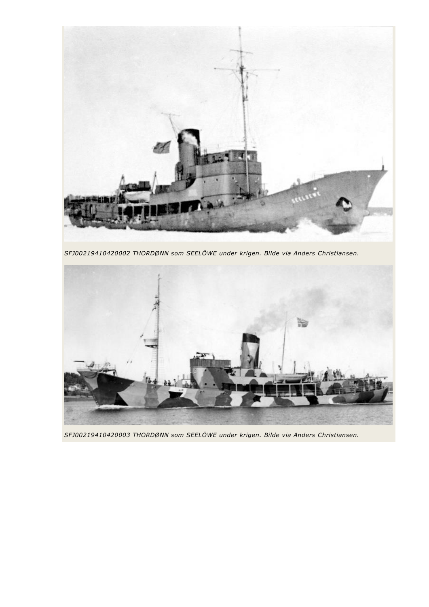

*SFJ00219410420002 THORDØNN som SEELÖWE under krigen. Bilde via Anders Christiansen.*



*SFJ00219410420003 THORDØNN som SEELÖWE under krigen. Bilde via Anders Christiansen.*